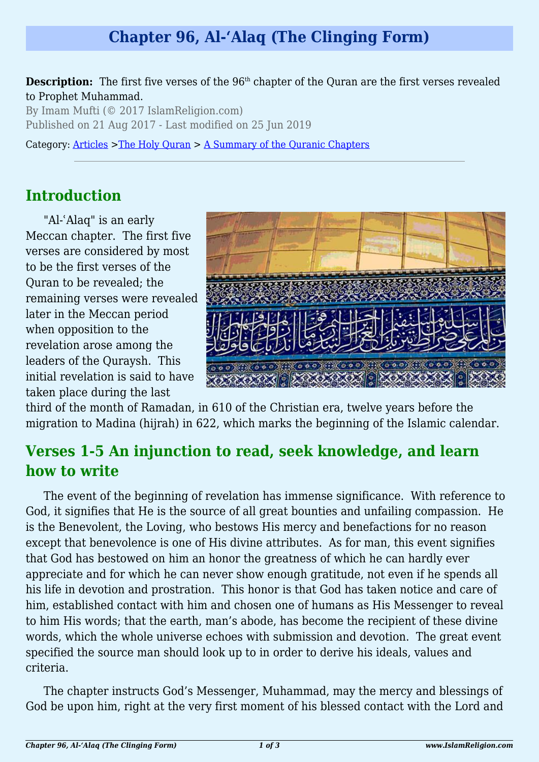# **Chapter 96, Al-'Alaq (The Clinging Form)**

**Description:** The first five verses of the 96<sup>th</sup> chapter of the Quran are the first verses revealed to Prophet Muhammad.

By Imam Mufti (© 2017 IslamReligion.com) Published on 21 Aug 2017 - Last modified on 25 Jun 2019

Category: [Articles](http://www.islamreligion.com/articles/) >[The Holy Quran](http://www.islamreligion.com/category/75/) > [A Summary of the Quranic Chapters](http://www.islamreligion.com/category/77/)

### **Introduction**

"Al-'Alaq" is an early Meccan chapter. The first five verses are considered by most to be the first verses of the Quran to be revealed; the remaining verses were revealed later in the Meccan period when opposition to the revelation arose among the leaders of the Quraysh. This initial revelation is said to have taken place during the last



third of the month of Ramadan, in 610 of the Christian era, twelve years before the migration to Madina (hijrah) in 622, which marks the beginning of the Islamic calendar.

# **Verses 1-5 An injunction to read, seek knowledge, and learn how to write**

The event of the beginning of revelation has immense significance. With reference to God, it signifies that He is the source of all great bounties and unfailing compassion. He is the Benevolent, the Loving, who bestows His mercy and benefactions for no reason except that benevolence is one of His divine attributes. As for man, this event signifies that God has bestowed on him an honor the greatness of which he can hardly ever appreciate and for which he can never show enough gratitude, not even if he spends all his life in devotion and prostration. This honor is that God has taken notice and care of him, established contact with him and chosen one of humans as His Messenger to reveal to him His words; that the earth, man's abode, has become the recipient of these divine words, which the whole universe echoes with submission and devotion. The great event specified the source man should look up to in order to derive his ideals, values and criteria.

The chapter instructs God's Messenger, Muhammad, may the mercy and blessings of God be upon him, right at the very first moment of his blessed contact with the Lord and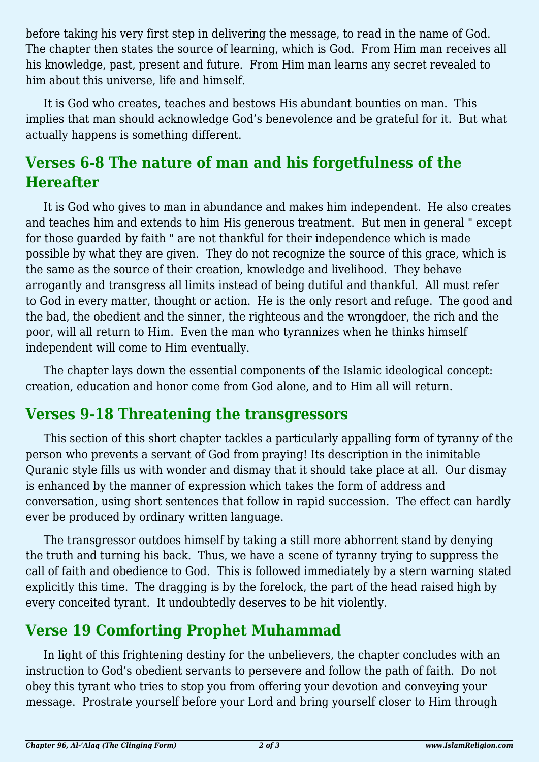before taking his very first step in delivering the message, to read in the name of God. The chapter then states the source of learning, which is God. From Him man receives all his knowledge, past, present and future. From Him man learns any secret revealed to him about this universe, life and himself.

It is God who creates, teaches and bestows His abundant bounties on man. This implies that man should acknowledge God's benevolence and be grateful for it. But what actually happens is something different.

## **Verses 6-8 The nature of man and his forgetfulness of the Hereafter**

It is God who gives to man in abundance and makes him independent. He also creates and teaches him and extends to him His generous treatment. But men in general " except for those guarded by faith " are not thankful for their independence which is made possible by what they are given. They do not recognize the source of this grace, which is the same as the source of their creation, knowledge and livelihood. They behave arrogantly and transgress all limits instead of being dutiful and thankful. All must refer to God in every matter, thought or action. He is the only resort and refuge. The good and the bad, the obedient and the sinner, the righteous and the wrongdoer, the rich and the poor, will all return to Him. Even the man who tyrannizes when he thinks himself independent will come to Him eventually.

The chapter lays down the essential components of the Islamic ideological concept: creation, education and honor come from God alone, and to Him all will return.

### **Verses 9-18 Threatening the transgressors**

This section of this short chapter tackles a particularly appalling form of tyranny of the person who prevents a servant of God from praying! Its description in the inimitable Quranic style fills us with wonder and dismay that it should take place at all. Our dismay is enhanced by the manner of expression which takes the form of address and conversation, using short sentences that follow in rapid succession. The effect can hardly ever be produced by ordinary written language.

The transgressor outdoes himself by taking a still more abhorrent stand by denying the truth and turning his back. Thus, we have a scene of tyranny trying to suppress the call of faith and obedience to God. This is followed immediately by a stern warning stated explicitly this time. The dragging is by the forelock, the part of the head raised high by every conceited tyrant. It undoubtedly deserves to be hit violently.

## **Verse 19 Comforting Prophet Muhammad**

In light of this frightening destiny for the unbelievers, the chapter concludes with an instruction to God's obedient servants to persevere and follow the path of faith. Do not obey this tyrant who tries to stop you from offering your devotion and conveying your message. Prostrate yourself before your Lord and bring yourself closer to Him through